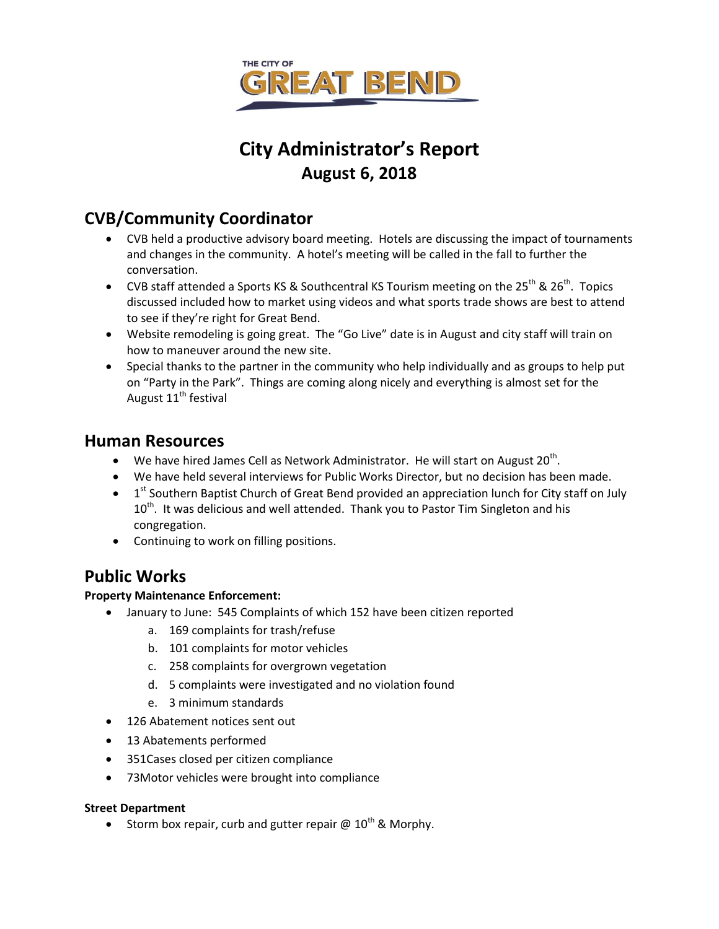

# **City Administrator's Report August 6, 2018**

# **CVB/Community Coordinator**

- CVB held a productive advisory board meeting. Hotels are discussing the impact of tournaments and changes in the community. A hotel's meeting will be called in the fall to further the conversation.
- CVB staff attended a Sports KS & Southcentral KS Tourism meeting on the  $25^{th}$  &  $26^{th}$ . Topics discussed included how to market using videos and what sports trade shows are best to attend to see if they're right for Great Bend.
- Website remodeling is going great. The "Go Live" date is in August and city staff will train on how to maneuver around the new site.
- Special thanks to the partner in the community who help individually and as groups to help put on "Party in the Park". Things are coming along nicely and everything is almost set for the August  $11<sup>th</sup>$  festival

### **Human Resources**

- We have hired James Cell as Network Administrator. He will start on August 20<sup>th</sup>.
- We have held several interviews for Public Works Director, but no decision has been made.
- $\bullet$  1<sup>st</sup> Southern Baptist Church of Great Bend provided an appreciation lunch for City staff on July  $10<sup>th</sup>$ . It was delicious and well attended. Thank you to Pastor Tim Singleton and his congregation.
- Continuing to work on filling positions.

## **Public Works**

#### **Property Maintenance Enforcement:**

- January to June: 545 Complaints of which 152 have been citizen reported
	- a. 169 complaints for trash/refuse
	- b. 101 complaints for motor vehicles
	- c. 258 complaints for overgrown vegetation
	- d. 5 complaints were investigated and no violation found
	- e. 3 minimum standards
- 126 Abatement notices sent out
- 13 Abatements performed
- 351Cases closed per citizen compliance
- 73Motor vehicles were brought into compliance

#### **Street Department**

Storm box repair, curb and gutter repair  $\omega$  10<sup>th</sup> & Morphy.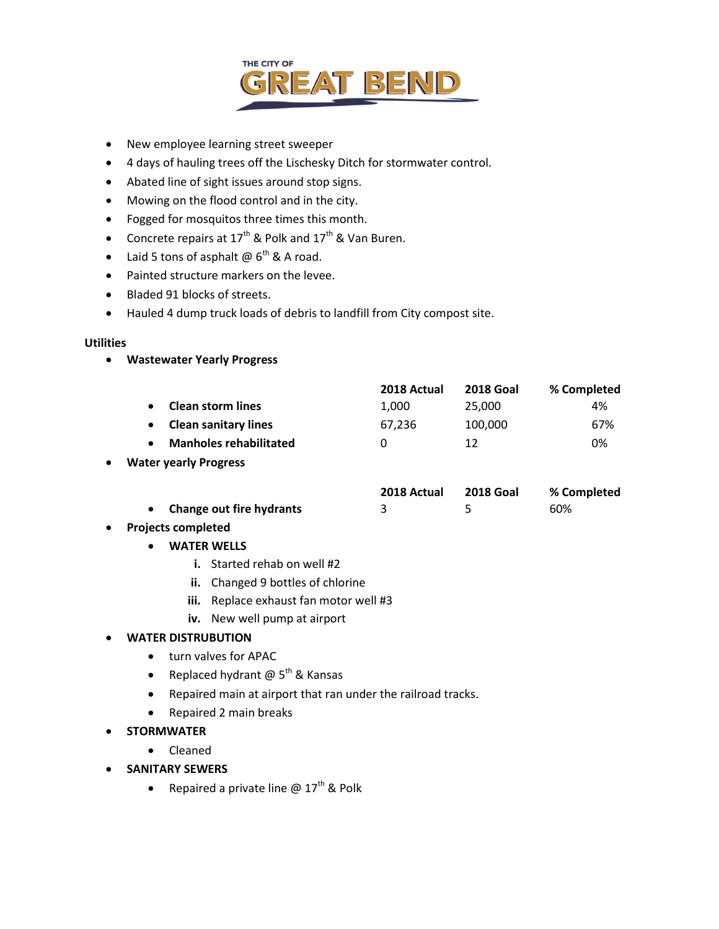

- New employee learning street sweeper
- 4 days of hauling trees off the Lischesky Ditch for stormwater control.
- Abated line of sight issues around stop signs.
- Mowing on the flood control and in the city.
- Fogged for mosquitos three times this month.
- Concrete repairs at  $17^{th}$  & Polk and  $17^{th}$  & Van Buren.
- Laid 5 tons of asphalt  $\omega$  6<sup>th</sup> & A road.
- Painted structure markers on the levee.
- Bladed 91 blocks of streets.
- Hauled 4 dump truck loads of debris to landfill from City compost site.

#### **Utilities**

**Wastewater Yearly Progress**

|                               | 2018 Actual | <b>2018 Goal</b> | % Completed |
|-------------------------------|-------------|------------------|-------------|
| <b>Clean storm lines</b>      | 1.000       | 25,000           | 4%          |
| <b>Clean sanitary lines</b>   | 67.236      | 100.000          | 67%         |
| <b>Manholes rehabilitated</b> |             | 12               | 0%          |

#### **Water yearly Progress**

|                                 | 2018 Actual | 2018 Goal | % Completed |  |
|---------------------------------|-------------|-----------|-------------|--|
| <b>Change out fire hydrants</b> |             |           | 60%         |  |

- **Projects completed**
	- **WATER WELLS**
		- **i.** Started rehab on well #2
		- **ii.** Changed 9 bottles of chlorine
		- **iii.** Replace exhaust fan motor well #3
		- **iv.** New well pump at airport

#### **WATER DISTRUBUTION**

- turn valves for APAC
- Replaced hydrant  $@5<sup>th</sup>$  & Kansas
- Repaired main at airport that ran under the railroad tracks.
- Repaired 2 main breaks
- **STORMWATER**
	- Cleaned
- **SANITARY SEWERS**
	- Repaired a private line  $\omega$  17<sup>th</sup> & Polk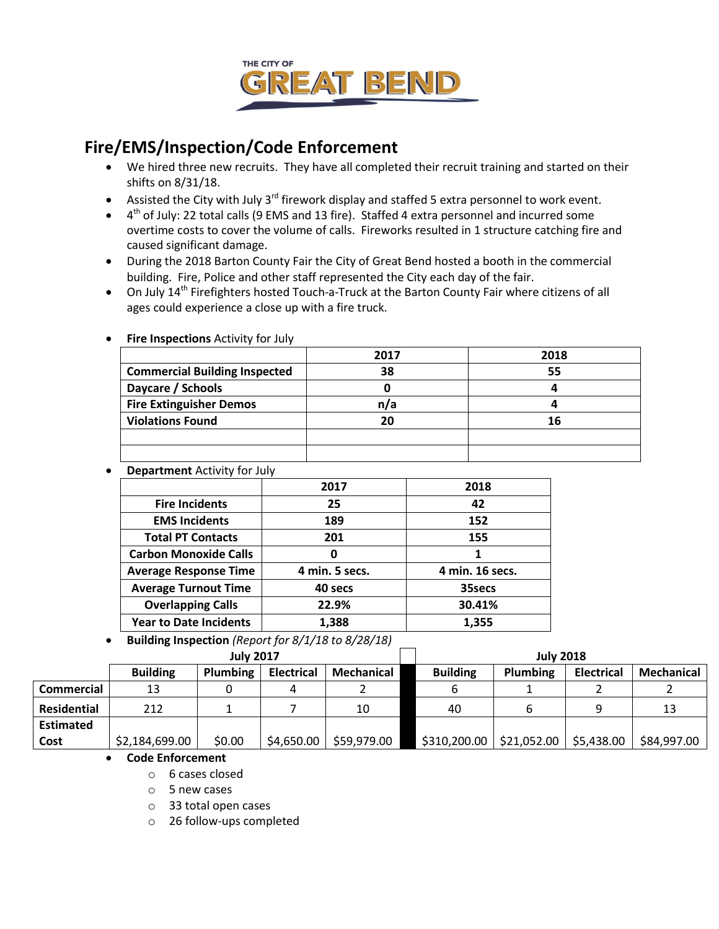

## **Fire/EMS/Inspection/Code Enforcement**

- We hired three new recruits. They have all completed their recruit training and started on their shifts on 8/31/18.
- Assisted the City with July  $3^{rd}$  firework display and staffed 5 extra personnel to work event.
- $\bullet$  4<sup>th</sup> of July: 22 total calls (9 EMS and 13 fire). Staffed 4 extra personnel and incurred some overtime costs to cover the volume of calls. Fireworks resulted in 1 structure catching fire and caused significant damage.
- During the 2018 Barton County Fair the City of Great Bend hosted a booth in the commercial building. Fire, Police and other staff represented the City each day of the fair.
- On July 14<sup>th</sup> Firefighters hosted Touch-a-Truck at the Barton County Fair where citizens of all ages could experience a close up with a fire truck.

|                                      | 2017 | 2018 |
|--------------------------------------|------|------|
| <b>Commercial Building Inspected</b> | 38   | 55   |
| Daycare / Schools                    |      |      |
| <b>Fire Extinguisher Demos</b>       | n/a  |      |
| <b>Violations Found</b>              | 20   | 16   |
|                                      |      |      |
|                                      |      |      |

**Fire Inspections** Activity for July

**Department** Activity for July

|                               | 2017           | 2018            |
|-------------------------------|----------------|-----------------|
| <b>Fire Incidents</b>         | 25             | 42              |
| <b>EMS Incidents</b>          | 189            | 152             |
| <b>Total PT Contacts</b>      | 201            | 155             |
| <b>Carbon Monoxide Calls</b>  |                |                 |
| <b>Average Response Time</b>  | 4 min. 5 secs. | 4 min. 16 secs. |
| <b>Average Turnout Time</b>   | 40 secs        | 35secs          |
| <b>Overlapping Calls</b>      | 22.9%          | 30.41%          |
| <b>Year to Date Incidents</b> | 1,388          | 1,355           |

**Building Inspection** *(Report for 8/1/18 to 8/28/18)*

|                    | <b>July 2017</b> |          |                   |             | <b>July 2018</b> |                 |                   |                   |
|--------------------|------------------|----------|-------------------|-------------|------------------|-----------------|-------------------|-------------------|
|                    | <b>Building</b>  | Plumbing | <b>Electrical</b> | Mechanical  | <b>Building</b>  | <b>Plumbing</b> | <b>Electrical</b> | <b>Mechanical</b> |
| Commercial         | 13               |          |                   |             |                  |                 |                   |                   |
| <b>Residential</b> | 212              |          |                   | 10          | 40               |                 |                   | 13                |
| <b>Estimated</b>   |                  |          |                   |             |                  |                 |                   |                   |
| Cost               | \$2,184,699.00   | \$0.00   | \$4,650.00        | \$59,979.00 | \$310,200.00     | \$21,052.00     | \$5,438.00        | \$84,997.00       |

#### **Code Enforcement**

o 6 cases closed

o 5 new cases

o 33 total open cases

o 26 follow-ups completed